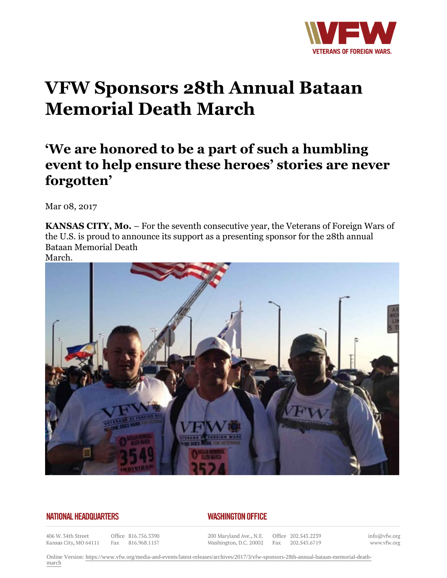

## **VFW Sponsors 28th Annual Bataan Memorial Death March**

## **'We are honored to be a part of such a humbling event to help ensure these heroes' stories are never forgotten'**

Mar 08, 2017

**KANSAS CITY, Mo.** – For the seventh consecutive year, the Veterans of Foreign Wars of the U.S. is proud to announce its support as a presenting sponsor for the 28th annual Bataan Memorial Death March.



## **NATIONAL HEADQUARTERS**

## **WASHINGTON OFFICE**

406 W. 34th Street Kansas City, MO 64111

Office 816.756.3390 Fax 816.968.1157

200 Maryland Ave., N.E. Washington, D.C. 20002

Office 202.543.2239 Fax 202.543.6719

info@vfw.org www.vfw.org

Online Version: [https://www.vfw.org/media-and-events/latest-releases/archives/2017/3/vfw-sponsors-28th-annual-bataan-memorial-death](https://www.vfw.org/media-and-events/latest-releases/archives/2017/3/vfw-sponsors-28th-annual-bataan-memorial-death-march)[march](https://www.vfw.org/media-and-events/latest-releases/archives/2017/3/vfw-sponsors-28th-annual-bataan-memorial-death-march)